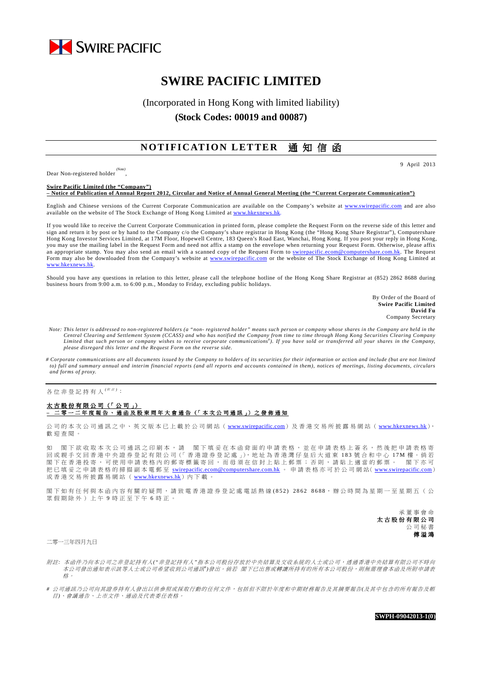

# **SWIRE PACIFIC LIMITED**

## (Incorporated in Hong Kong with limited liability) **(Stock Codes: 00019 and 00087)**

### **NOTIFICATION LETTER** 通知信函

Dear Non-registered holder *(Note)* , 9 April 2013

**Swire Pacific Limited (the "Company") – Notice of Publication of Annual Report 2012, Circular and Notice of Annual General Meeting (the "Current Corporate Communication")** 

English and Chinese versions of the Current Corporate Communication are available on the Company's website at www.swirepacific.com and are also available on the website of The Stock Exchange of Hong Kong Limited at www.hkexn

If you would like to receive the Current Corporate Communication in printed form, please complete the Request Form on the reverse side of this letter and sign and return it by post or by hand to the Company c/o the Company's share registrar in Hong Kong (the "Hong Kong Share Registrar"), Computershare Hong Kong Investor Services Limited, at 17M Floor, Hopewell Centre, 183 Queen's Road East, Wanchai, Hong Kong. If you post your reply in Hong Kong, you may use the mailing label in the Request Form and need not affix a stamp on the envelope when returning your Request Form. Otherwise, please affix an appropriate stamp. You may also send an email with a scanned copy of the Request Form to swirepacific.ecom@computershare.com.hk. The Request Form may also be downloaded from the Company's website at www.swirepacific.com or the website of The Stock Exchange of Hong Kong Limited at www.hkexnews.hk.

Should you have any questions in relation to this letter, please call the telephone hotline of the Hong Kong Share Registrar at (852) 2862 8688 during business hours from 9:00 a.m. to 6:00 p.m., Monday to Friday, excluding public holidays.

> By Order of the Board of **Swire Pacific Limited David Fu** Company Secretary

- *Note: This letter is addressed to non-registered holders (a "non- registered holder" means such person or company whose shares in the Company are held in the*  Central Clearing and Settlement System (CCASS) and who has notified the Company from time to time through Hong Kong Securities Clearing Company<br>Limited that such person or company wishes to receive corporate communications *please disregard this letter and the Request Form on the reverse side.*
- *# Corporate communications are all documents issued by the Company to holders of its securities for their information or action and include (but are not limited to) full and summary annual and interim financial reports (and all reports and accounts contained in them), notices of meetings, listing documents, circulars and forms of proxy.*

各位非登記持有人<sup>(##)</sup>:

#### 太 古 股 份 有 限 公 司 (「 公 司 」) <u>二 零 一 二 年 度 報 告 、 通 函 及 股 東 周 年 大 會 通 告 (「</u> 本 次 公 司 通 訊 」) 之 發 佈 通 知

公 司 的 本 次 公 司 通 訊 之 中 、 英 文 版 本 已 上 載 於 公 司 網 站 ( www.swirepacific.com) 及 香 港 交 易 所 披 露 易 網 站 ( www.hkexnews.hk), 歡 迎 查 閱 。

如 閣 下 欲 收 取 本 次 公 司 通 訊 之 印 刷 本 , 請 閣 下 填 妥 在 本 函 背 面 的 申 請 表 格 , 並 在 申 請 表 格 上 簽 名 , 然 後 把 申 請 表 格 寄 回 或 親 手 交 回 香 港 中 央 證 券 登 記 有 限 公 司 (「 香 港 證 券 登 記 處 」), 地 址 為 香 港 灣 仔 皇 后 大 道 東 183 號 合 和 中 心 17M 樓 。倘 若 閣下 在 香 港 投 寄 , 可 使 用 申 請 表 格 内 的 郵 寄 標 籤 寄 回 , 而 毋 須 在 信 封 上 貼 上 郵 票 ; 否 則 , 請 貼 上 適 當 的 郵 票 。 閣 下 亦 可 把 已 填 妥 之 申 請 表 格 的 掃 描 副 本 電 郵 至 swirepacific.ecom@computershare.com.hk 。 申 請 表 格 亦 可 於 公 司 網 站( www.swirepacific.com) 或香港交易所披露易網站(www.hkexnews.hk)內下載。

閣下 如 有 任 何 與 本 函 内 容 有 關 的 疑 問 , 請 致 雷 香 港 證 券 登 記 處 電 話 熱 線 (852) 2862 8688, 辦 公 時 間 為 星 期 一 至 星 期 五 ( 公 眾假期除外)上午9時正至下午6時正。

> 承 董 事 會 命 太古股份有限公司 公 司 秘 書 傅 溢 鴻

二零一三年四月九日

- 附註: 本函件乃向本公司之非登記持有人("非登記持有人"指本公司股份存放於中央結算及交收系統的人士或公司,透過香港中央結算有限公司不時向 本公司發出通知表示該等人士或公司希望收到公司通訊")發出。倘若 閣下已出售或轉讓所持有的所有本公司股份,則無需理會本函及所附申請表 格 。
- *#* 公 司 通 訊 乃 公 司 向 其 證 券 持 有 人 發 出 以 供 參 照 或 採 取 行 動 的 任 何 文 件 , 包 括 但 不 限 於 年 度 和 中 期 財 務 報 告 及 其 摘 要 報告*(*及 其 中 包 含 的 所 有 報 告 及 帳 目*)*、 會 議 通告 、 上 市 文 件、 通 函 及 代 表 委 任表 格 。

**SWPH-09042013-1(0)**